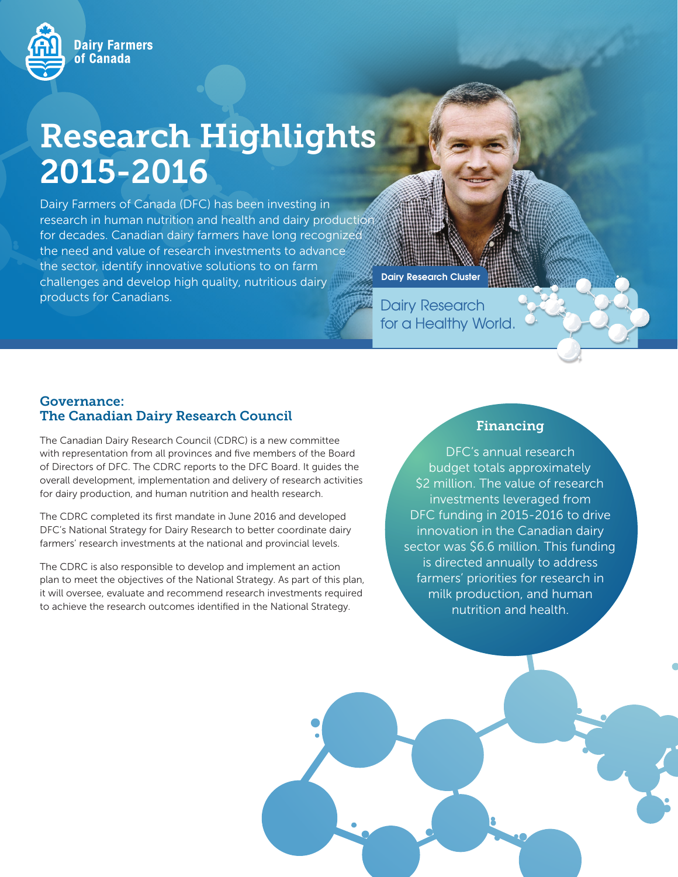

# Research Highlights 2015-2016

Dairy Farmers of Canada (DFC) has been investing in research in human nutrition and health and dairy production for decades. Canadian dairy farmers have long recognized the need and value of research investments to advance the sector, identify innovative solutions to on farm challenges and develop high quality, nutritious dairy products for Canadians.

Dairy Research for a Healthy World.

Dairy Research Cluster

#### Governance: The Canadian Dairy Research Council

The Canadian Dairy Research Council (CDRC) is a new committee with representation from all provinces and five members of the Board of Directors of DFC. The CDRC reports to the DFC Board. It guides the overall development, implementation and delivery of research activities for dairy production, and human nutrition and health research.

The CDRC completed its first mandate in June 2016 and developed DFC's National Strategy for Dairy Research to better coordinate dairy farmers' research investments at the national and provincial levels.

The CDRC is also responsible to develop and implement an action plan to meet the objectives of the National Strategy. As part of this plan, it will oversee, evaluate and recommend research investments required to achieve the research outcomes identified in the National Strategy.

## Financing

DFC's annual research budget totals approximately \$2 million. The value of research investments leveraged from DFC funding in 2015-2016 to drive innovation in the Canadian dairy sector was \$6.6 million. This funding is directed annually to address farmers' priorities for research in milk production, and human nutrition and health.